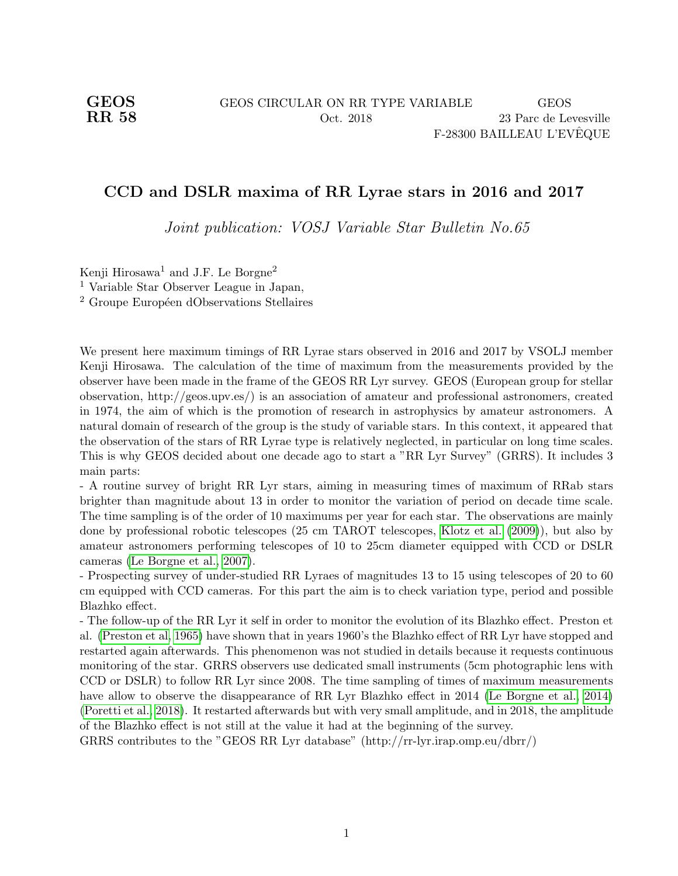## CCD and DSLR maxima of RR Lyrae stars in 2016 and 2017

Joint publication: VOSJ Variable Star Bulletin No.65

Kenji Hirosawa<sup>1</sup> and J.F. Le Borgne<sup>2</sup> <sup>1</sup> Variable Star Observer League in Japan, <sup>2</sup> Groupe Européen dObservations Stellaires

We present here maximum timings of RR Lyrae stars observed in 2016 and 2017 by VSOLJ member Kenji Hirosawa. The calculation of the time of maximum from the measurements provided by the observer have been made in the frame of the GEOS RR Lyr survey. GEOS (European group for stellar observation, http://geos.upv.es/) is an association of amateur and professional astronomers, created in 1974, the aim of which is the promotion of research in astrophysics by amateur astronomers. A natural domain of research of the group is the study of variable stars. In this context, it appeared that the observation of the stars of RR Lyrae type is relatively neglected, in particular on long time scales. This is why GEOS decided about one decade ago to start a "RR Lyr Survey" (GRRS). It includes 3 main parts:

- A routine survey of bright RR Lyr stars, aiming in measuring times of maximum of RRab stars brighter than magnitude about 13 in order to monitor the variation of period on decade time scale. The time sampling is of the order of 10 maximums per year for each star. The observations are mainly done by professional robotic telescopes (25 cm TAROT telescopes, [Klotz et al.](#page-7-0) [\(2009\)](#page-7-0)), but also by amateur astronomers performing telescopes of 10 to 25cm diameter equipped with CCD or DSLR cameras [\(Le Borgne et al., 2007\)](#page-7-1).

- Prospecting survey of under-studied RR Lyraes of magnitudes 13 to 15 using telescopes of 20 to 60 cm equipped with CCD cameras. For this part the aim is to check variation type, period and possible Blazhko effect.

- The follow-up of the RR Lyr it self in order to monitor the evolution of its Blazhko effect. Preston et al. [\(Preston et al, 1965\)](#page-7-2) have shown that in years 1960's the Blazhko effect of RR Lyr have stopped and restarted again afterwards. This phenomenon was not studied in details because it requests continuous monitoring of the star. GRRS observers use dedicated small instruments (5cm photographic lens with CCD or DSLR) to follow RR Lyr since 2008. The time sampling of times of maximum measurements have allow to observe the disappearance of RR Lyr Blazhko effect in 2014 [\(Le Borgne et al., 2014\)](#page-7-3) [\(Poretti et al., 2018\)](#page-7-4). It restarted afterwards but with very small amplitude, and in 2018, the amplitude of the Blazhko effect is not still at the value it had at the beginning of the survey.

GRRS contributes to the "GEOS RR Lyr database" (http://rr-lyr.irap.omp.eu/dbrr/)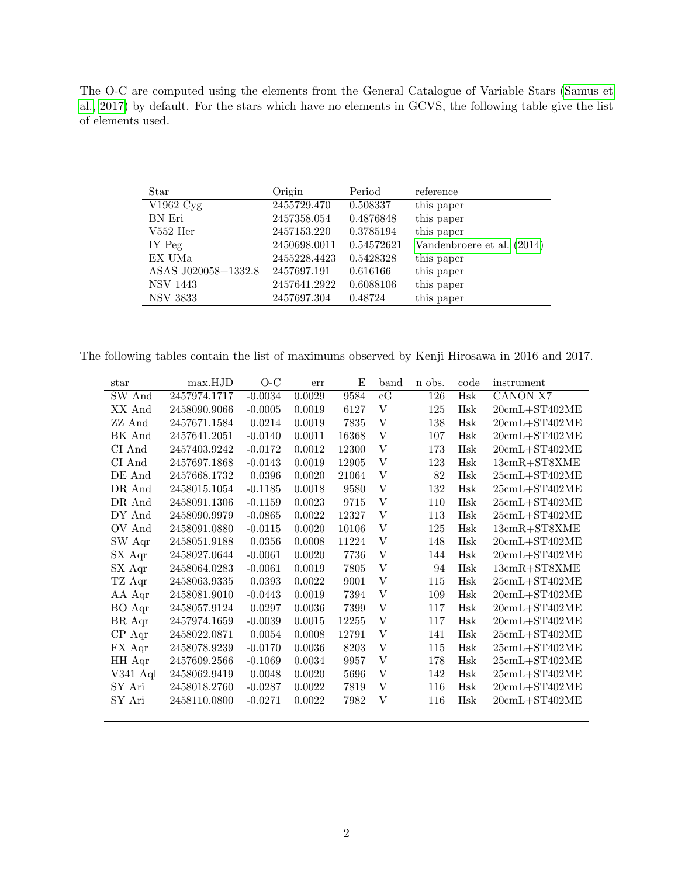The O-C are computed using the elements from the General Catalogue of Variable Stars [\(Samus et](#page-7-5) [al., 2017\)](#page-7-5) by default. For the stars which have no elements in GCVS, the following table give the list of elements used.

| Star                | Origin       | Period     | reference                  |
|---------------------|--------------|------------|----------------------------|
| V1962 Cyg           | 2455729.470  | 0.508337   | this paper                 |
| BN Eri              | 2457358.054  | 0.4876848  | this paper                 |
| $V552$ Her          | 2457153.220  | 0.3785194  | this paper                 |
| IY Peg              | 2450698.0011 | 0.54572621 | Vandenbroere et al. (2014) |
| EX UMa              | 2455228.4423 | 0.5428328  | this paper                 |
| ASAS J020058+1332.8 | 2457697.191  | 0.616166   | this paper                 |
| <b>NSV 1443</b>     | 2457641.2922 | 0.6088106  | this paper                 |
| NSV 3833            | 2457697.304  | 0.48724    | this paper                 |

The following tables contain the list of maximums observed by Kenji Hirosawa in 2016 and 2017.

| star       | max.HJD      | $O-C$     | err    | E     | band | n obs. | code | instrument                                   |
|------------|--------------|-----------|--------|-------|------|--------|------|----------------------------------------------|
| SW And     | 2457974.1717 | $-0.0034$ | 0.0029 | 9584  | cG   | 126    | Hsk  | CANON X7                                     |
| XX And     | 2458090.9066 | $-0.0005$ | 0.0019 | 6127  | V    | 125    | Hsk  | $20$ cmL+ST402ME                             |
| ZZ And     | 2457671.1584 | 0.0214    | 0.0019 | 7835  | V    | 138    | Hsk  | $20$ cmL $+ST402ME$                          |
| BK And     | 2457641.2051 | $-0.0140$ | 0.0011 | 16368 | V    | 107    | Hsk  | $20$ cmL $+ST402ME$                          |
| CI And     | 2457403.9242 | $-0.0172$ | 0.0012 | 12300 | V    | 173    | Hsk  | $20$ cmL $+ST402ME$                          |
| CI And     | 2457697.1868 | $-0.0143$ | 0.0019 | 12905 | V    | 123    | Hsk  | $13cmR+ST8XME$                               |
| DE And     | 2457668.1732 | 0.0396    | 0.0020 | 21064 | V    | 82     | Hsk  | $25$ cmL $+ST402ME$                          |
| DR And     | 2458015.1054 | $-0.1185$ | 0.0018 | 9580  | V    | 132    | Hsk  | $25\mathrm{cmL}{+}\mathrm{ST}402\mathrm{ME}$ |
| DR And     | 2458091.1306 | $-0.1159$ | 0.0023 | 9715  | V    | 110    | Hsk  | $25$ cmL $+ST402$ ME                         |
| DY And     | 2458090.9979 | $-0.0865$ | 0.0022 | 12327 | V    | 113    | Hsk  | $25$ cmL $+ST402ME$                          |
| OV And     | 2458091.0880 | $-0.0115$ | 0.0020 | 10106 | V    | 125    | Hsk  | $13cmR+ST8XME$                               |
| SW Aqr     | 2458051.9188 | 0.0356    | 0.0008 | 11224 | V    | 148    | Hsk  | $20$ cmL $+ST402ME$                          |
| SX Aqr     | 2458027.0644 | $-0.0061$ | 0.0020 | 7736  | V    | 144    | Hsk  | $20$ cmL $+ST402ME$                          |
| SX Aqr     | 2458064.0283 | $-0.0061$ | 0.0019 | 7805  | V    | 94     | Hsk  | $13cmR+ST8XME$                               |
| TZ Aqr     | 2458063.9335 | 0.0393    | 0.0022 | 9001  | V    | 115    | Hsk  | $25$ cmL $+ST402ME$                          |
| AA Aqr     | 2458081.9010 | $-0.0443$ | 0.0019 | 7394  | V    | 109    | Hsk  | $20$ cmL $+ST402ME$                          |
| BO Aqr     | 2458057.9124 | 0.0297    | 0.0036 | 7399  | V    | 117    | Hsk  | $20$ cmL $+ST402ME$                          |
| BR Aqr     | 2457974.1659 | $-0.0039$ | 0.0015 | 12255 | V    | 117    | Hsk  | $20$ cmL $+ST402ME$                          |
| CP Aqr     | 2458022.0871 | 0.0054    | 0.0008 | 12791 | V    | 141    | Hsk  | $25$ cmL $+ST402ME$                          |
| FX Aqr     | 2458078.9239 | $-0.0170$ | 0.0036 | 8203  | V    | 115    | Hsk  | $25$ cmL+ST402ME                             |
| HH Aqr     | 2457609.2566 | $-0.1069$ | 0.0034 | 9957  | V    | 178    | Hsk  | $25$ cmL $+ST402ME$                          |
| $V341$ Aql | 2458062.9419 | 0.0048    | 0.0020 | 5696  | V    | 142    | Hsk  | $25$ cmL $+ST402$ ME                         |
| SY Ari     | 2458018.2760 | $-0.0287$ | 0.0022 | 7819  | V    | 116    | Hsk  | $20$ cmL $+ST402ME$                          |
| SY Ari     | 2458110.0800 | $-0.0271$ | 0.0022 | 7982  | V    | 116    | Hsk  | $20cmL+ST402ME$                              |
|            |              |           |        |       |      |        |      |                                              |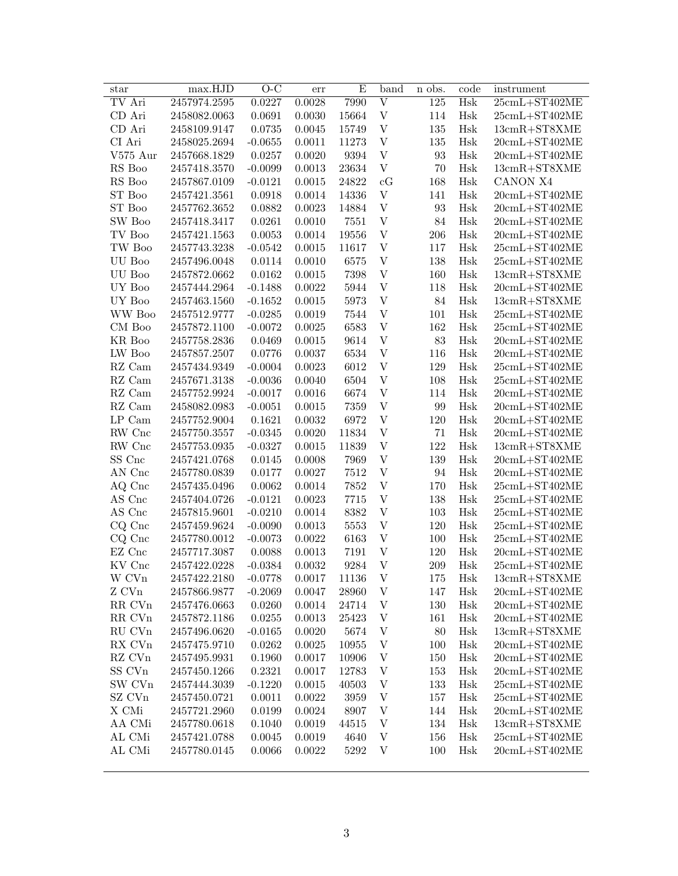| star                                 | max.HJD      | $O-C$                  | err        | E            | band                      | n obs.           | code       | instrument                           |
|--------------------------------------|--------------|------------------------|------------|--------------|---------------------------|------------------|------------|--------------------------------------|
| TV Ari                               | 2457974.2595 | 0.0227                 | 0.0028     | 7990         | $\overline{\mathrm{V}}$   | $\overline{125}$ | Hsk        | $25$ cmL+ST402ME                     |
| CD Ari                               | 2458082.0063 | 0.0691                 | 0.0030     | 15664        | $\mathbf V$               | 114              | Hsk        | $25$ cmL+ST402ME                     |
| CD Ari                               | 2458109.9147 | 0.0735                 | 0.0045     | 15749        | $\mathbf{V}$              | 135              | Hsk        | $13cmR+ST8XME$                       |
| CI Ari                               | 2458025.2694 | $-0.0655$              | $0.0011\,$ | 11273        | $\mathbf{V}$              | 135              | Hsk        | $20$ cmL+ST402ME                     |
| $V575$ Aur                           | 2457668.1829 | 0.0257                 | 0.0020     | 9394         | $\mathbf{V}$              | 93               | Hsk        | $20$ cmL+ST402ME                     |
| RS Boo                               | 2457418.3570 | $-0.0099$              | 0.0013     | 23634        | $\mathbf V$               | 70               | Hsk        | 13cmR+ST8XME                         |
| RS Boo                               | 2457867.0109 | $-0.0121$              | 0.0015     | 24822        | cG                        | 168              | Hsk        | CANON X4                             |
| ST Boo                               | 2457421.3561 | 0.0918                 | 0.0014     | 14336        | $\ensuremath{\mathbf{V}}$ | 141              | Hsk        | $20$ cmL+ST402ME                     |
| ST Boo                               | 2457762.3652 | 0.0882                 | 0.0023     | 14884        | $\mathbf{V}$              | 93               | Hsk        | $20$ cmL+ST402ME                     |
| SW Boo                               | 2457418.3417 | 0.0261                 | 0.0010     | 7551         | $\ensuremath{\mathbf{V}}$ | 84               | Hsk        | $20$ cmL+ST402ME                     |
| TV Boo                               | 2457421.1563 | 0.0053                 | 0.0014     | 19556        | $\ensuremath{\mathbf{V}}$ | 206              | Hsk        | $20$ cmL+ST402ME                     |
| TW Boo                               | 2457743.3238 | $-0.0542$              | 0.0015     | 11617        | $\ensuremath{\mathbf{V}}$ | 117              | Hsk        | $25$ cmL+ST402ME                     |
| UU Boo                               | 2457496.0048 | 0.0114                 | 0.0010     | 6575         | $\ensuremath{\mathbf{V}}$ | 138              | Hsk        | $25$ cmL+ST402ME                     |
| UU Boo                               | 2457872.0662 | 0.0162                 | 0.0015     | 7398         | $\ensuremath{\mathbf{V}}$ | 160              | Hsk        | $13cmR+ST8XME$                       |
| UY Boo                               | 2457444.2964 | $-0.1488$              | 0.0022     | 5944         | $\mathbf{V}$              | 118              | Hsk        | $20$ cmL+ST402ME                     |
| UY Boo                               | 2457463.1560 | $-0.1652$              | 0.0015     | 5973         | $\mathbf{V}$              | 84               | Hsk        | $13cmR+ST8XME$                       |
| WW Boo                               | 2457512.9777 | $-0.0285$              | 0.0019     | 7544         | $\mathbf{V}$              | 101              | Hsk        | $25$ cmL+ST402ME                     |
| CM Boo                               | 2457872.1100 | $-0.0072$              | 0.0025     | 6583         | $\mathbf{V}$              | 162              | Hsk        | $25$ cmL+ST402ME                     |
| KR Boo                               | 2457758.2836 | 0.0469                 | 0.0015     | 9614         | $\mathbf{V}$              | 83               | Hsk        | $20$ cmL+ST402ME                     |
| LW Boo                               | 2457857.2507 | 0.0776                 | 0.0037     | 6534         | $\mathbf{V}$              | 116              | Hsk        | $20$ cmL+ST402ME                     |
|                                      | 2457434.9349 |                        | 0.0023     | 6012         | $\mathbf{V}$              | 129              |            |                                      |
| RZ Cam<br>$\mathbf{R}\mathbf{Z}$ Cam | 2457671.3138 | $-0.0004$<br>$-0.0036$ | 0.0040     | 6504         | $\boldsymbol{\mathrm{V}}$ | 108              | Hsk<br>Hsk | $25$ cmL+ST402ME<br>$25$ cmL+ST402ME |
|                                      |              |                        |            |              | V                         |                  |            |                                      |
| RZ Cam<br>$\mathbf{R}\mathbf{Z}$ Cam | 2457752.9924 | $-0.0017$              | 0.0016     | 6674         | $\boldsymbol{\mathrm{V}}$ | 114<br>99        | Hsk        | $20$ cmL+ST402ME                     |
| $\operatorname{LP}$ Cam              | 2458082.0983 | $-0.0051$              | 0.0015     | 7359<br>6972 | V                         | 120              | Hsk        | $20$ cmL+ST402ME                     |
|                                      | 2457752.9004 | 0.1621                 | 0.0032     |              |                           |                  | Hsk        | $20$ cmL+ST402ME                     |
| RW Cnc                               | 2457750.3557 | $-0.0345$              | 0.0020     | 11834        | V                         | 71               | Hsk        | $20$ cmL+ST402ME                     |
| RW Cnc                               | 2457753.0935 | $-0.0327$              | 0.0015     | 11839        | V                         | 122              | Hsk        | $13cmR+ST8XME$                       |
| SS Cnc                               | 2457421.0768 | 0.0145                 | 0.0008     | 7969         | V                         | 139              | Hsk        | $20$ cmL+ST402ME                     |
| AN Cnc                               | 2457780.0839 | 0.0177                 | 0.0027     | 7512         | V                         | 94               | Hsk        | $20$ cmL+ST402ME                     |
| AQ Cnc                               | 2457435.0496 | 0.0062                 | 0.0014     | 7852         | $\boldsymbol{\mathrm{V}}$ | 170              | Hsk        | $25$ cmL+ST402ME                     |
| AS Cnc                               | 2457404.0726 | $-0.0121$              | 0.0023     | 7715         | V                         | 138              | Hsk        | $25$ cmL+ST402ME                     |
| AS Cnc                               | 2457815.9601 | $-0.0210$              | 0.0014     | 8382         | V                         | 103              | Hsk        | $25$ cmL+ST402ME                     |
| CQ Cnc                               | 2457459.9624 | $-0.0090$              | 0.0013     | 5553         | V                         | 120              | Hsk        | $25$ cmL+ST402ME                     |
| CQ Cnc                               | 2457780.0012 | $-0.0073$              | 0.0022     | 6163         | V                         | 100              | Hsk        | $25$ cmL+ST402ME                     |
| EZ Cnc                               | 2457717.3087 | 0.0088                 | 0.0013     | 7191         | V                         | 120              | Hsk        | $20$ cmL+ST402ME                     |
| KV Cnc                               | 2457422.0228 | $-0.0384$              | 0.0032     | 9284         | V                         | 209              | Hsk        | $25$ cmL+ST402ME                     |
| W CVn                                | 2457422.2180 | $-0.0778$              | 0.0017     | 11136        | V                         | 175              | Hsk        | 13cmR+ST8XME                         |
| Z CVn                                | 2457866.9877 | $-0.2069$              | 0.0047     | 28960        | V                         | 147              | Hsk        | $20$ cmL+ST402ME                     |
| RR CVn                               | 2457476.0663 | 0.0260                 | 0.0014     | 24714        | V                         | 130              | Hsk        | $20$ cmL $+ST402ME$                  |
| RR CVn                               | 2457872.1186 | 0.0255                 | 0.0013     | 25423        | V                         | 161              | Hsk        | $20$ cmL $+ST402ME$                  |
| RU CVn                               | 2457496.0620 | $-0.0165$              | 0.0020     | 5674         | V                         | 80               | Hsk        | 13cmR+ST8XME                         |
| RX CVn                               | 2457475.9710 | 0.0262                 | 0.0025     | 10955        | V                         | 100              | Hsk        | $20$ cmL $+ST402ME$                  |
| RZ CVn                               | 2457495.9931 | 0.1960                 | 0.0017     | 10906        | $\ensuremath{\mathbf{V}}$ | 150              | Hsk        | $20$ cmL $+ST402ME$                  |
| SS CVn                               | 2457450.1266 | 0.2321                 | 0.0017     | 12783        | $\ensuremath{\mathbf{V}}$ | 153              | Hsk        | $20cmL+ST402ME$                      |
| SW CVn                               | 2457444.3039 | $-0.1220$              | 0.0015     | 40503        | V                         | 133              | Hsk        | $25$ cmL+ST402ME                     |
| SZ CVn                               | 2457450.0721 | 0.0011                 | 0.0022     | 3959         | $\ensuremath{\mathbf{V}}$ | 157              | Hsk        | $25$ cmL+ST402ME                     |
| X CMi                                | 2457721.2960 | 0.0199                 | 0.0024     | 8907         | V                         | 144              | Hsk        | $20$ cmL $+ST402ME$                  |
| AA CMi                               | 2457780.0618 | 0.1040                 | 0.0019     | 44515        | V                         | 134              | Hsk        | $13cmR+ST8XME$                       |
| AL CMi                               | 2457421.0788 | 0.0045                 | 0.0019     | 4640         | V                         | 156              | Hsk        | $25$ cmL+ST402ME                     |
| AL CMi                               | 2457780.0145 | 0.0066                 | 0.0022     | 5292         | V                         | 100              | Hsk        | $20$ cmL+ST402ME                     |
|                                      |              |                        |            |              |                           |                  |            |                                      |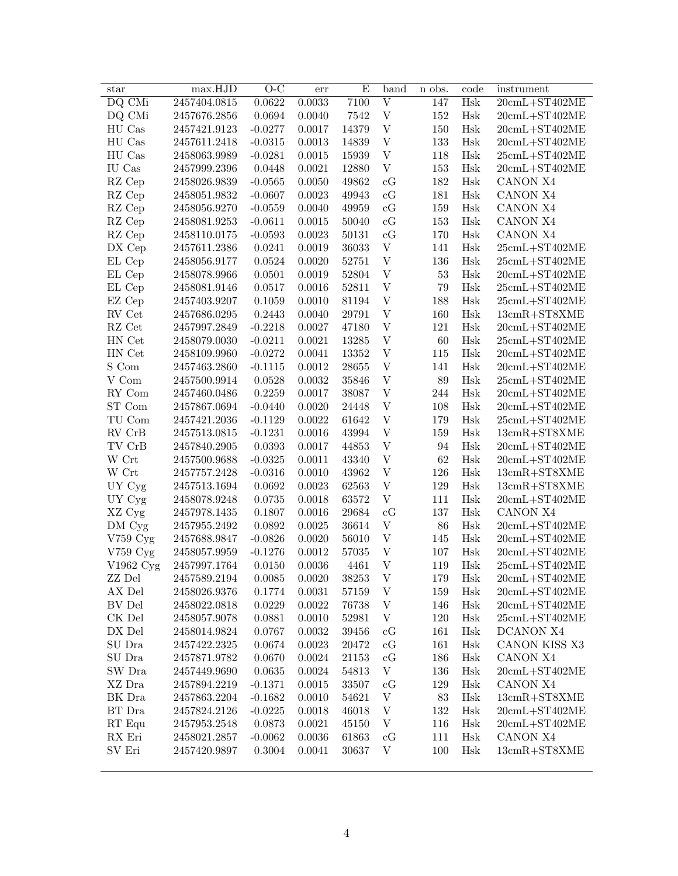| star                        | max.HJD      | $O-C$     | err    | Ε     | band                      | n obs.     | code | instrument                                   |
|-----------------------------|--------------|-----------|--------|-------|---------------------------|------------|------|----------------------------------------------|
| DQ CMi                      | 2457404.0815 | 0.0622    | 0.0033 | 7100  | $\overline{\rm V}$        | 147        | Hsk  | $20$ cmL+ST402ME                             |
| DQ CMi                      | 2457676.2856 | 0.0694    | 0.0040 | 7542  | V                         | 152        | Hsk  | $20$ cmL+ST402ME                             |
| HU Cas                      | 2457421.9123 | $-0.0277$ | 0.0017 | 14379 | $\ensuremath{\mathbf{V}}$ | 150        | Hsk  | $20$ cmL+ST402ME                             |
| HU Cas                      | 2457611.2418 | $-0.0315$ | 0.0013 | 14839 | $\mathbf{V}$              | 133        | Hsk  | $20$ cmL $+ST402ME$                          |
| HU Cas                      | 2458063.9989 | $-0.0281$ | 0.0015 | 15939 | $\ensuremath{\mathbf{V}}$ | 118        | Hsk  | $25$ cmL+ST402ME                             |
| IU Cas                      | 2457999.2396 | 0.0448    | 0.0021 | 12880 | $\ensuremath{\mathbf{V}}$ | 153        | Hsk  | $20$ cmL+ST402ME                             |
| RZ Cep                      | 2458026.9839 | $-0.0565$ | 0.0050 | 49862 | cG                        | 182        | Hsk  | CANON X4                                     |
| RZ Cep                      | 2458051.9832 | $-0.0607$ | 0.0023 | 49943 | cG                        | 181        | Hsk  | CANON X4                                     |
| RZ Cep                      | 2458056.9270 | $-0.0559$ | 0.0040 | 49959 | cG                        | 159        | Hsk  | CANON X4                                     |
| RZ Cep                      | 2458081.9253 | $-0.0611$ | 0.0015 | 50040 | cG                        | 153        | Hsk  | CANON X4                                     |
| RZ Cep                      | 2458110.0175 | $-0.0593$ | 0.0023 | 50131 | cG                        | 170        | Hsk  | CANON X4                                     |
| DX Cep                      | 2457611.2386 | 0.0241    | 0.0019 | 36033 | V                         | 141        | Hsk  | $25$ cmL+ST402ME                             |
| EL Cep                      | 2458056.9177 | 0.0524    | 0.0020 | 52751 | $\boldsymbol{\mathrm{V}}$ | 136        | Hsk  | $25$ cmL+ST402ME                             |
| EL Cep                      | 2458078.9966 | 0.0501    | 0.0019 | 52804 | $\boldsymbol{\mathrm{V}}$ | 53         | Hsk  | $20$ cmL+ST402ME                             |
| EL Cep                      | 2458081.9146 | 0.0517    | 0.0016 | 52811 | $\boldsymbol{\mathrm{V}}$ | 79         | Hsk  | $25$ cmL+ST402ME                             |
| EZ Cep                      | 2457403.9207 | 0.1059    | 0.0010 | 81194 | $\boldsymbol{\mathrm{V}}$ | 188        | Hsk  | $25$ cmL+ST402ME                             |
| RV Cet                      | 2457686.0295 | 0.2443    |        | 29791 | $\boldsymbol{\mathrm{V}}$ |            |      | $13cmR+ST8XME$                               |
| RZ Cet                      |              |           | 0.0040 | 47180 | $\boldsymbol{\mathrm{V}}$ | 160<br>121 | Hsk  |                                              |
|                             | 2457997.2849 | $-0.2218$ | 0.0027 |       |                           |            | Hsk  | $20$ cmL+ST402ME                             |
| HN Cet                      | 2458079.0030 | $-0.0211$ | 0.0021 | 13285 | $\boldsymbol{\mathrm{V}}$ | 60         | Hsk  | $25$ cmL+ST402ME                             |
| HN Cet                      | 2458109.9960 | $-0.0272$ | 0.0041 | 13352 | $\ensuremath{\mathbf{V}}$ | 115        | Hsk  | $20$ cmL+ST402ME                             |
| S Com                       | 2457463.2860 | $-0.1115$ | 0.0012 | 28655 | $\ensuremath{\mathbf{V}}$ | 141        | Hsk  | $20$ cmL+ST402ME                             |
| V Com                       | 2457500.9914 | 0.0528    | 0.0032 | 35846 | $\ensuremath{\mathbf{V}}$ | 89         | Hsk  | $25$ cmL+ST402ME                             |
| RY Com                      | 2457460.0486 | 0.2259    | 0.0017 | 38087 | $\ensuremath{\mathbf{V}}$ | 244        | Hsk  | $20$ cmL+ST402ME                             |
| ST Com                      | 2457867.0694 | $-0.0440$ | 0.0020 | 24448 | $\ensuremath{\mathbf{V}}$ | 108        | Hsk  | $20$ cmL+ST402ME                             |
| TU Com                      | 2457421.2036 | $-0.1129$ | 0.0022 | 61642 | $\ensuremath{\mathbf{V}}$ | 179        | Hsk  | $25$ cmL+ST402ME                             |
| RV CrB                      | 2457513.0815 | $-0.1231$ | 0.0016 | 43994 | $\ensuremath{\mathbf{V}}$ | 159        | Hsk  | $13cmR+ST8XME$                               |
| TV CrB                      | 2457840.2905 | 0.0393    | 0.0017 | 44853 | $\ensuremath{\mathbf{V}}$ | 94         | Hsk  | $20$ cmL+ST402ME                             |
| $\ensuremath{\text{W}}$ Crt | 2457500.9688 | $-0.0325$ | 0.0011 | 43340 | $\ensuremath{\mathbf{V}}$ | 62         | Hsk  | $20$ cmL+ST402ME                             |
| $\ensuremath{\text{W}}$ Crt | 2457757.2428 | $-0.0316$ | 0.0010 | 43962 | $\ensuremath{\mathbf{V}}$ | 126        | Hsk  | $13cmR+ST8XME$                               |
| UY Cyg                      | 2457513.1694 | 0.0692    | 0.0023 | 62563 | $\ensuremath{\mathbf{V}}$ | 129        | Hsk  | $13cmR+ST8XME$                               |
| UY Cyg                      | 2458078.9248 | 0.0735    | 0.0018 | 63572 | $\ensuremath{\mathbf{V}}$ | 111        | Hsk  | $20cmL+ST402ME$                              |
| XZ Cyg                      | 2457978.1435 | 0.1807    | 0.0016 | 29684 | cG                        | 137        | Hsk  | CANON X4                                     |
| DM Cyg                      | 2457955.2492 | 0.0892    | 0.0025 | 36614 | $\ensuremath{\mathbf{V}}$ | 86         | Hsk  | $20$ cmL $+ST402ME$                          |
| V759 Cyg                    | 2457688.9847 | $-0.0826$ | 0.0020 | 56010 | $\ensuremath{\mathbf{V}}$ | 145        | Hsk  | $20$ cmL+ST402ME                             |
| $V759$ Cyg                  | 2458057.9959 | $-0.1276$ | 0.0012 | 57035 | V                         | 107        | Hsk  | $20$ cmL+ST402ME                             |
| V1962 Cyg                   | 2457997.1764 | 0.0150    | 0.0036 | 4461  | V                         | 119        | Hsk  | $25$ cmL+ST402ME                             |
| ZZ Del                      | 2457589.2194 | 0.0085    | 0.0020 | 38253 | V                         | 179        | Hsk  | $20\mathrm{cm}L + \mathrm{ST}402\mathrm{ME}$ |
| AX Del                      | 2458026.9376 | 0.1774    | 0.0031 | 57159 | $\ensuremath{\mathbf{V}}$ | 159        | Hsk  | $20\mathrm{cmL+ST402ME}$                     |
| BV Del                      | 2458022.0818 | 0.0229    | 0.0022 | 76738 | $\ensuremath{\mathbf{V}}$ | 146        | Hsk  | $20cmL+ST402ME$                              |
| CK Del                      | 2458057.9078 | 0.0881    | 0.0010 | 52981 | V                         | 120        | Hsk  | $25$ cmL $+$ ST402ME                         |
| DX Del                      | 2458014.9824 | 0.0767    | 0.0032 | 39456 | cG                        | 161        | Hsk  | DCANON X4                                    |
| SU Dra                      | 2457422.2325 | 0.0674    | 0.0023 | 20472 | cG                        | 161        | Hsk  | CANON KISS X3                                |
| SU Dra                      | 2457871.9782 | 0.0670    | 0.0024 | 21153 | cG                        | 186        | Hsk  | CANON X4                                     |
| SW Dra                      | 2457449.9690 | 0.0635    | 0.0024 | 54813 | V                         | 136        | Hsk  | $20$ cmL+ST402ME                             |
| XZ Dra                      | 2457894.2219 | $-0.1371$ | 0.0015 | 33507 | cG                        | 129        | Hsk  | CANON X4                                     |
| BK Dra                      | 2457863.2204 | $-0.1682$ | 0.0010 | 54621 | V                         | 83         | Hsk  | $13cmR+ST8XME$                               |
| BT Dra                      | 2457824.2126 | $-0.0225$ | 0.0018 | 46018 | V                         | 132        | Hsk  | $20cmL+ST402ME$                              |
| $RT$ Equ                    | 2457953.2548 | 0.0873    | 0.0021 | 45150 | V                         | 116        | Hsk  | $20cmL+ST402ME$                              |
| RX Eri                      | 2458021.2857 | $-0.0062$ | 0.0036 | 61863 | cG                        | 111        | Hsk  | CANON X4                                     |
| SV Eri                      | 2457420.9897 | 0.3004    | 0.0041 | 30637 | V                         | 100        | Hsk  | $13cmR+ST8XME$                               |
|                             |              |           |        |       |                           |            |      |                                              |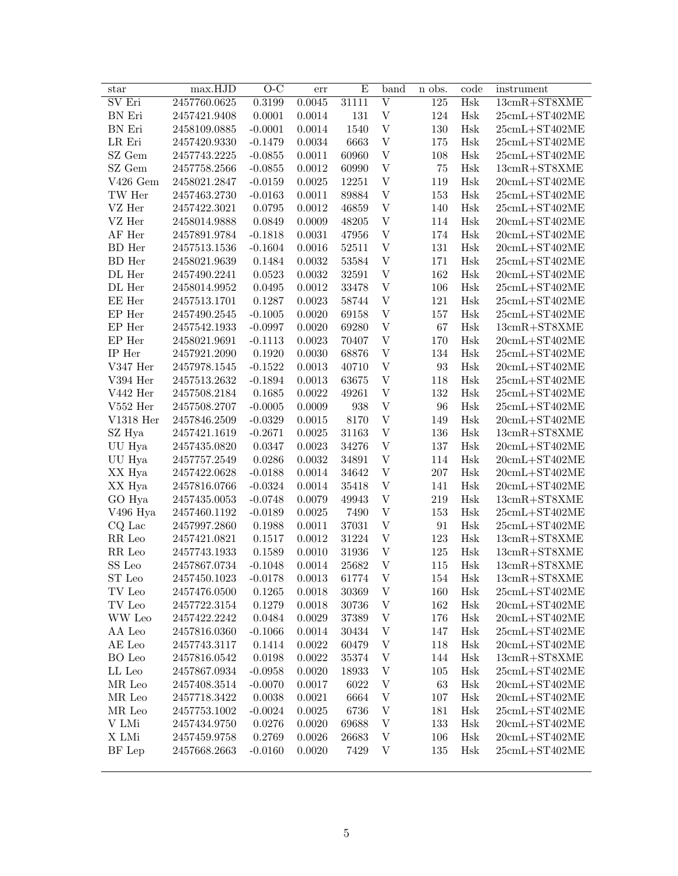| star                                  | max.HJD      | $O-C$     | err    | Ε         | band                      | n obs.           | code | instrument          |
|---------------------------------------|--------------|-----------|--------|-----------|---------------------------|------------------|------|---------------------|
| SV Eri                                | 2457760.0625 | 0.3199    | 0.0045 | 31111     | $\overline{\rm v}$        | $\overline{125}$ | Hsk  | $13cmR+ST8XME$      |
| BN Eri                                | 2457421.9408 | 0.0001    | 0.0014 | 131       | $\mathbf{V}$              | 124              | Hsk  | $25$ cmL+ST402ME    |
| BN Eri                                | 2458109.0885 | $-0.0001$ | 0.0014 | 1540      | $\mathbf V$               | 130              | Hsk  | $25$ cmL+ST402ME    |
| LR Eri                                | 2457420.9330 | $-0.1479$ | 0.0034 | 6663      | $\ensuremath{\mathbf{V}}$ | 175              | Hsk  | $25$ cmL+ST402ME    |
| SZ Gem                                | 2457743.2225 | $-0.0855$ | 0.0011 | 60960     | $\boldsymbol{\mathrm{V}}$ | 108              | Hsk  | $25$ cmL+ST402ME    |
| SZ Gem                                | 2457758.2566 | $-0.0855$ | 0.0012 | 60990     | $\boldsymbol{\mathrm{V}}$ | 75               | Hsk  | $13cmR+ST8XME$      |
| $V426$ Gem                            | 2458021.2847 | $-0.0159$ | 0.0025 | 12251     | $\boldsymbol{\mathrm{V}}$ | 119              | Hsk  | $20$ cmL+ST402ME    |
| TW Her                                | 2457463.2730 | $-0.0163$ | 0.0011 | 89884     | $\boldsymbol{\mathrm{V}}$ | 153              | Hsk  | $25$ cmL+ST402ME    |
| VZ Her                                | 2457422.3021 | 0.0795    | 0.0012 | 46859     | $\boldsymbol{\mathrm{V}}$ | 140              | Hsk  | $25$ cmL+ST402ME    |
| VZ Her                                | 2458014.9888 | 0.0849    | 0.0009 | 48205     | $\boldsymbol{\mathrm{V}}$ | 114              | Hsk  | $20$ cmL+ST402ME    |
| AF Her                                | 2457891.9784 | $-0.1818$ | 0.0031 | 47956     | $\boldsymbol{\mathrm{V}}$ | 174              | Hsk  | $20$ cmL+ST402ME    |
| <b>BD</b> Her                         | 2457513.1536 | $-0.1604$ | 0.0016 | $52511\,$ | $\mathbf V$               | 131              | Hsk  | $20$ cmL+ST402ME    |
| BD Her                                | 2458021.9639 | 0.1484    | 0.0032 | 53584     | $\mathbf V$               | 171              | Hsk  | $25$ cmL+ST402ME    |
| DL Her                                | 2457490.2241 | 0.0523    | 0.0032 | 32591     | $\mathbf V$               | 162              | Hsk  | $20$ cmL+ST402ME    |
| DL Her                                | 2458014.9952 | 0.0495    | 0.0012 | 33478     | $\mathbf V$               | 106              | Hsk  | $25$ cmL+ST402ME    |
| EE Her                                | 2457513.1701 | 0.1287    | 0.0023 | 58744     | $\mathbf V$               | 121              | Hsk  | $25$ cmL+ST402ME    |
| EP Her                                | 2457490.2545 | $-0.1005$ | 0.0020 | 69158     | $\mathbf V$               | 157              | Hsk  | $25$ cmL+ST402ME    |
| EP Her                                | 2457542.1933 | $-0.0997$ | 0.0020 | 69280     | $\mathbf V$               | 67               | Hsk  | $13cmR+ST8XME$      |
| EP Her                                | 2458021.9691 | $-0.1113$ | 0.0023 | 70407     | $\mathbf V$               | 170              | Hsk  | $20$ cmL+ST402ME    |
| IP Her                                | 2457921.2090 | 0.1920    | 0.0030 | 68876     | $\mathbf V$               | 134              | Hsk  | $25$ cmL+ST402ME    |
| V347 Her                              | 2457978.1545 | $-0.1522$ | 0.0013 | 40710     | $\mathbf V$               | 93               | Hsk  | $20$ cmL+ST402ME    |
| V394 Her                              | 2457513.2632 | $-0.1894$ | 0.0013 | 63675     | $\mathbf V$               | 118              | Hsk  | $25$ cmL+ST402ME    |
| V442 Her                              | 2457508.2184 | 0.1685    | 0.0022 | 49261     | $\mathbf V$               | 132              | Hsk  | $25$ cmL+ST402ME    |
| $V552$ Her                            | 2457508.2707 | $-0.0005$ | 0.0009 | 938       | $\boldsymbol{\mathrm{V}}$ | 96               | Hsk  | $25$ cmL+ST402ME    |
| $V1318$ Her                           | 2457846.2509 | $-0.0329$ | 0.0015 | 8170      | $\mathbf V$               | 149              | Hsk  | $20$ cmL+ST402ME    |
| SZ Hya                                | 2457421.1619 | $-0.2671$ | 0.0025 | 31163     | $\mathbf V$               | 136              | Hsk  | $13cmR+ST8XME$      |
| UU Hya                                | 2457435.0820 | 0.0347    | 0.0023 | 34276     | $\boldsymbol{\mathrm{V}}$ | 137              | Hsk  | $20$ cmL+ST402ME    |
| UU Hya                                | 2457757.2549 | 0.0286    | 0.0032 | 34891     | $\boldsymbol{\mathrm{V}}$ | 114              | Hsk  | $20$ cmL+ST402ME    |
| XX Hya                                | 2457422.0628 | $-0.0188$ | 0.0014 | 34642     | $\boldsymbol{\mathrm{V}}$ | 207              | Hsk  | $20$ cmL+ST402ME    |
| XX Hya                                | 2457816.0766 | $-0.0324$ | 0.0014 | 35418     | $\mathbf V$               | 141              | Hsk  | $20$ cmL+ST402ME    |
| GO Hya                                | 2457435.0053 | $-0.0748$ | 0.0079 | 49943     | $\mathbf V$               | 219              | Hsk  | $13cmR+ST8XME$      |
| V496 Hya                              | 2457460.1192 | $-0.0189$ | 0.0025 | 7490      | $\mathbf V$               | 153              | Hsk  | $25$ cmL+ST402ME    |
| CQ Lac                                | 2457997.2860 | 0.1988    | 0.0011 | 37031     | $\mathbf V$               | 91               | Hsk  | $25$ cmL+ST402ME    |
| RR Leo                                | 2457421.0821 | 0.1517    | 0.0012 | 31224     | $\mathbf V$               | 123              | Hsk  | $13cmR+ST8XME$      |
| $\ensuremath{\mathsf{RR}}\xspace$ Leo | 2457743.1933 | 0.1589    | 0.0010 | 31936     | $\mathbf V$               | 125              | Hsk  | $13cmR+ST8XME$      |
| SS Leo                                | 2457867.0734 | $-0.1048$ | 0.0014 | 25682     | $\mathbf V$               | 115              | Hsk  | 13cmR+ST8XME        |
| ST Leo                                | 2457450.1023 | $-0.0178$ | 0.0013 | 61774     | V                         | 154              | Hsk  | $13cmR+ST8XME$      |
| TV Leo                                | 2457476.0500 | 0.1265    | 0.0018 | 30369     | $\ensuremath{\mathbf{V}}$ | 160              | Hsk  | $25$ cmL+ST402ME    |
| TV Leo                                | 2457722.3154 | 0.1279    | 0.0018 | 30736     | V                         | 162              | Hsk  | $20$ cmL+ST402ME    |
| WW Leo                                | 2457422.2242 | 0.0484    | 0.0029 | 37389     | V                         | 176              | Hsk  | $20$ cmL $+ST402ME$ |
| AA Leo                                | 2457816.0360 | $-0.1066$ | 0.0014 | 30434     | V                         | 147              | Hsk  | $25$ cmL+ST402ME    |
| AE Leo                                | 2457743.3117 | 0.1414    | 0.0022 | 60479     | V                         | 118              | Hsk  | $20$ cmL+ST402ME    |
| BO Leo                                | 2457816.0542 | 0.0198    | 0.0022 | 35374     | V                         |                  | Hsk  | $13cmR+ST8XME$      |
|                                       | 2457867.0934 |           |        |           |                           | 144              |      |                     |
| LL Leo                                |              | $-0.0958$ | 0.0020 | 18933     | V                         | 105              | Hsk  | $25$ cmL+ST402ME    |
| MR Leo                                | 2457408.3514 | $-0.0070$ | 0.0017 | 6022      | V                         | 63               | Hsk  | $20$ cmL $+ST402ME$ |
| MR Leo                                | 2457718.3422 | 0.0038    | 0.0021 | 6664      | V                         | 107              | Hsk  | $20$ cmL+ST402ME    |
| MR Leo                                | 2457753.1002 | $-0.0024$ | 0.0025 | 6736      | V                         | 181              | Hsk  | $25$ cmL $+ST402ME$ |
| V LMi                                 | 2457434.9750 | 0.0276    | 0.0020 | 69688     | V                         | 133              | Hsk  | $20$ cmL $+ST402ME$ |
| X LMi                                 | 2457459.9758 | 0.2769    | 0.0026 | 26683     | V                         | 106              | Hsk  | $20$ cmL+ST402ME    |
| BF Lep                                | 2457668.2663 | $-0.0160$ | 0.0020 | 7429      | V                         | 135              | Hsk  | $25$ cmL+ST402ME    |
|                                       |              |           |        |           |                           |                  |      |                     |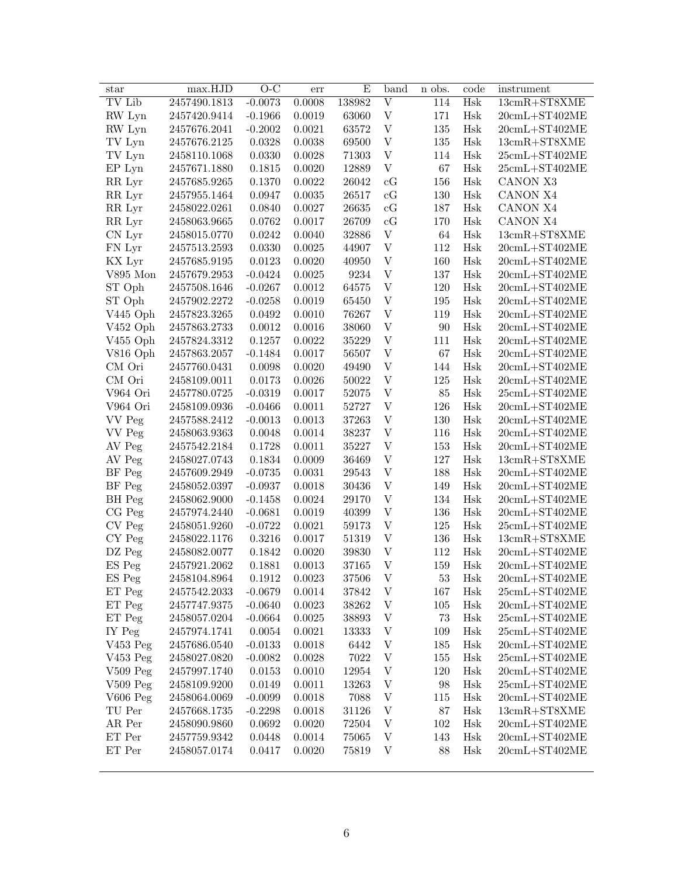| star                           | max.HJD          | $O-C$     | err    | Ε      | band                      | n obs.  | code                 | instrument                                  |
|--------------------------------|------------------|-----------|--------|--------|---------------------------|---------|----------------------|---------------------------------------------|
| TV Lib                         | 2457490.1813     | $-0.0073$ | 0.0008 | 138982 | $\overline{\rm V}$        | 114     | Hsk                  | $13cmR+ST8XME$                              |
| RW Lyn                         | 2457420.9414     | $-0.1966$ | 0.0019 | 63060  | $\ensuremath{\mathbf{V}}$ | 171     | Hsk                  | $20$ cmL+ST402ME                            |
| RW Lyn                         | 2457676.2041     | $-0.2002$ | 0.0021 | 63572  | $\mathbf V$               | 135     | Hsk                  | $20$ cmL+ST402ME                            |
| TV Lyn                         | 2457676.2125     | 0.0328    | 0.0038 | 69500  | $\mathbf V$               | 135     | Hsk                  | $13cmR+ST8XME$                              |
| TV Lyn                         | 2458110.1068     | 0.0330    | 0.0028 | 71303  | $\boldsymbol{\mathrm{V}}$ | 114     | Hsk                  | $25\mathrm{cmL}+ \mathrm{ST}402\mathrm{ME}$ |
| EP Lyn                         | 2457671.1880     | 0.1815    | 0.0020 | 12889  | $\boldsymbol{\mathrm{V}}$ | 67      | Hsk                  | $25\mathrm{cmL}+ \mathrm{ST}402\mathrm{ME}$ |
| RR Lyr                         | 2457685.9265     | 0.1370    | 0.0022 | 26042  | cG                        | 156     | Hsk                  | CANON X3                                    |
| RR Lyr                         | 2457955.1464     | 0.0947    | 0.0035 | 26517  | cG                        | 130     | Hsk                  | CANON X4                                    |
| RR Lyr                         | 2458022.0261     | 0.0840    | 0.0027 | 26635  | cG                        | 187     | Hsk                  | CANON X4                                    |
| RR Lyr                         | 2458063.9665     | 0.0762    | 0.0017 | 26709  | $\rm cG$                  | 170     | Hsk                  | CANON X4                                    |
| CN Lyr                         | 2458015.0770     | 0.0242    | 0.0040 | 32886  | $\ensuremath{\mathbf{V}}$ | 64      | Hsk                  | $13cmR+ST8XME$                              |
| FN Lyr                         | 2457513.2593     | 0.0330    | 0.0025 | 44907  | $\boldsymbol{\mathrm{V}}$ | 112     | Hsk                  | $20$ cmL+ST402ME                            |
| KX Lyr                         | $2457685.9195\,$ | 0.0123    | 0.0020 | 40950  | $\mathbf V$               | 160     | Hsk                  | $20$ cmL+ST402ME                            |
| V895 Mon                       | 2457679.2953     | $-0.0424$ | 0.0025 | 9234   | $\mathbf V$               | 137     | Hsk                  | $20$ cmL+ST402ME                            |
| ST Oph                         | 2457508.1646     | $-0.0267$ | 0.0012 | 64575  | $\mathbf V$               | 120     | Hsk                  | $20$ cmL+ST402ME                            |
| ST Oph                         | 2457902.2272     | $-0.0258$ | 0.0019 | 65450  | $\mathbf V$               | 195     | Hsk                  | $20$ cmL+ST402ME                            |
| V445 Oph                       | 2457823.3265     | 0.0492    | 0.0010 | 76267  | $\mathbf V$               | 119     | Hsk                  | $20$ cmL+ST402ME                            |
| V452 Oph                       | 2457863.2733     | 0.0012    | 0.0016 | 38060  | $\boldsymbol{\mathrm{V}}$ | $90\,$  | Hsk                  | $20$ cmL+ST402ME                            |
| $V455$ Oph                     | 2457824.3312     | 0.1257    | 0.0022 | 35229  | $\mathbf V$               | 111     | Hsk                  | $20$ cmL+ST402ME                            |
| V816 Oph                       | 2457863.2057     | $-0.1484$ | 0.0017 | 56507  | $\mathbf V$               | 67      | Hsk                  | $20$ cmL+ST402ME                            |
| CM Ori                         | 2457760.0431     | 0.0098    | 0.0020 | 49490  | $\boldsymbol{\mathrm{V}}$ | 144     | Hsk                  | $20$ cmL+ST402ME                            |
| CM Ori                         | 2458109.0011     | 0.0173    | 0.0026 | 50022  | $\boldsymbol{\mathrm{V}}$ | $125\,$ | Hsk                  | $20$ cmL+ST402ME                            |
| V964 Ori                       | 2457780.0725     | $-0.0319$ | 0.0017 | 52075  | $\boldsymbol{\mathrm{V}}$ | 85      | Hsk                  | $25$ cmL+ST402ME                            |
| V964 Ori                       | 2458109.0936     | $-0.0466$ | 0.0011 | 52727  | $\boldsymbol{\mathrm{V}}$ | 126     | Hsk                  | $20$ cmL+ST402ME                            |
| VV Peg                         | 2457588.2412     | $-0.0013$ | 0.0013 | 37263  | $\boldsymbol{\mathrm{V}}$ | 130     | Hsk                  | $20$ cmL+ST402ME                            |
| VV Peg                         | 2458063.9363     | 0.0048    | 0.0014 | 38237  | $\boldsymbol{\mathrm{V}}$ | 116     | Hsk                  | $20$ cmL+ST402ME                            |
| AV Peg                         | 2457542.2184     | 0.1728    | 0.0011 | 35227  | $\boldsymbol{\mathrm{V}}$ | 153     | Hsk                  | $20$ cmL+ST402ME                            |
| AV Peg                         | 2458027.0743     | 0.1834    | 0.0009 | 36469  | $\boldsymbol{\mathrm{V}}$ | 127     | Hsk                  | $13cmR+ST8XME$                              |
| BF Peg                         | 2457609.2949     | $-0.0735$ | 0.0031 | 29543  | $\ensuremath{\mathbf{V}}$ | 188     | Hsk                  | $20$ cmL+ST402ME                            |
| BF Peg                         | 2458052.0397     | $-0.0937$ | 0.0018 | 30436  | $\ensuremath{\mathbf{V}}$ | 149     | $\operatorname{Hsk}$ | $20$ cmL+ST402ME                            |
| BH Peg                         | 2458062.9000     | $-0.1458$ | 0.0024 | 29170  | $\mathbf V$               | 134     | Hsk                  | $20$ cmL+ST402ME                            |
| CG Peg                         | 2457974.2440     | $-0.0681$ | 0.0019 | 40399  | $\mathbf V$               | 136     | Hsk                  | $20$ cmL+ST402ME                            |
| CV Peg                         | 2458051.9260     | $-0.0722$ | 0.0021 | 59173  | $\mathbf V$               | 125     | Hsk                  | $25cmL+ST402ME$                             |
| CY Peg                         | 2458022.1176     | 0.3216    | 0.0017 | 51319  | $\mathbf V$               | 136     | $\operatorname{Hsk}$ | $13cmR+ST8XME$                              |
| DZ Peg                         | 2458082.0077     | 0.1842    | 0.0020 | 39830  | $\mathbf V$               | 112     | Hsk                  | $20$ cmL+ST402ME                            |
| ES Peg                         | 2457921.2062     | 0.1881    | 0.0013 | 37165  | $\mathbf V$               | 159     | Hsk                  | $20$ cmL+ST402ME                            |
| ES Peg                         | 2458104.8964     | 0.1912    | 0.0023 | 37506  | V                         | $53\,$  | Hsk                  | $20$ cmL+ST402ME                            |
| ET Peg                         | 2457542.2033     | $-0.0679$ | 0.0014 | 37842  | V                         | 167     | Hsk                  | $25$ cmL+ST402ME                            |
| ET Peg                         | 2457747.9375     | $-0.0640$ | 0.0023 | 38262  | V                         | 105     | Hsk                  | $20$ cmL+ST402ME                            |
| ET Peg                         | 2458057.0204     | $-0.0664$ | 0.0025 | 38893  | $\ensuremath{\text{V}}$   | $73\,$  | Hsk                  | $25$ cmL+ST402ME                            |
| IY Peg                         | 2457974.1741     | 0.0054    | 0.0021 | 13333  | V                         | 109     | Hsk                  | $25$ cmL+ST402ME                            |
| V453 Peg                       | 2457686.0540     | $-0.0133$ | 0.0018 | 6442   | V                         | 185     | Hsk                  | $20$ cmL+ST402ME                            |
| $V453$ Peg                     | 2458027.0820     | $-0.0082$ | 0.0028 | 7022   | $\ensuremath{\text{V}}$   | 155     | Hsk                  | $25$ cmL+ST402ME                            |
| $V509$ Peg                     | 2457997.1740     | 0.0153    | 0.0010 | 12954  | $\ensuremath{\text{V}}$   | 120     | Hsk                  | $20$ cmL+ST402ME                            |
| $V509$ Peg                     | 2458109.9200     | 0.0149    | 0.0011 | 13263  | $\ensuremath{\text{V}}$   | 98      | Hsk                  | $25$ cmL+ST402ME                            |
| $V606$ Peg                     | 2458064.0069     | $-0.0099$ | 0.0018 | 7088   | $\ensuremath{\text{V}}$   | 115     | Hsk                  | $20$ cmL+ST402ME                            |
| TU Per                         | 2457668.1735     | $-0.2298$ | 0.0018 | 31126  | V                         | 87      | Hsk                  | $13cmR+ST8XME$                              |
| AR Per                         | 2458090.9860     | 0.0692    | 0.0020 | 72504  | V                         | 102     | Hsk                  | $20cmL+ST402ME$                             |
| ET Per                         | 2457759.9342     | 0.0448    | 0.0014 | 75065  | V                         | 143     | Hsk                  | $20$ cmL+ST402ME                            |
| $\mathop{\rm ET}\nolimits$ Per | 2458057.0174     | 0.0417    | 0.0020 | 75819  | V                         | 88      | Hsk                  | $20$ cmL+ST402ME                            |
|                                |                  |           |        |        |                           |         |                      |                                             |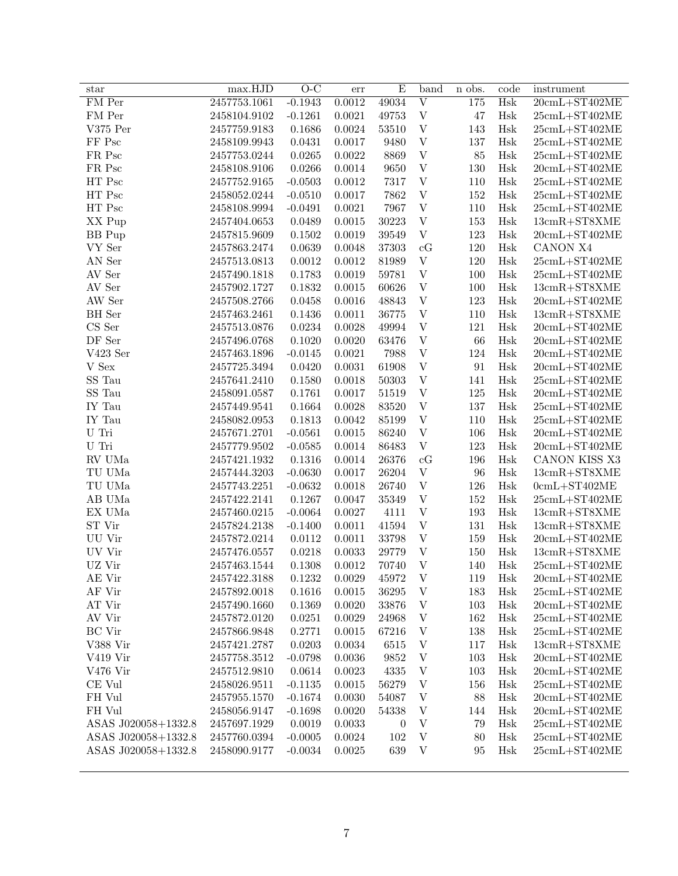| star                          | max.HJD      | $\overline{O-C}$ | err    | E                | band                           | n obs.  | code                 | instrument                                   |
|-------------------------------|--------------|------------------|--------|------------------|--------------------------------|---------|----------------------|----------------------------------------------|
| FM Per                        | 2457753.1061 | $-0.1943$        | 0.0012 | 49034            | $\overline{\mathrm{V}}$        | 175     | <b>Hsk</b>           | $20$ cmL+ST402ME                             |
| FM Per                        | 2458104.9102 | $-0.1261$        | 0.0021 | 49753            | $\ensuremath{\mathbf{V}}$      | 47      | Hsk                  | $25$ cmL+ST402ME                             |
| V375 Per                      | 2457759.9183 | 0.1686           | 0.0024 | 53510            | $\ensuremath{\mathbf{V}}$      | 143     | Hsk                  | $25$ cmL+ST402ME                             |
| FF Psc                        | 2458109.9943 | 0.0431           | 0.0017 | 9480             | $\ensuremath{\mathbf{V}}$      | 137     | Hsk                  | $25cmL+ST402ME$                              |
| FR Psc                        | 2457753.0244 | 0.0265           | 0.0022 | 8869             | $\ensuremath{\text{V}}$        | 85      | Hsk                  | $25$ cmL+ST402ME                             |
| FR Psc                        | 2458108.9106 | 0.0266           | 0.0014 | 9650             | $\ensuremath{\text{V}}$        | 130     | Hsk                  | $20$ cmL+ST402ME                             |
| HT Psc                        | 2457752.9165 | $-0.0503$        | 0.0012 | 7317             | $\ensuremath{\text{V}}$        | 110     | Hsk                  | $25$ cmL+ST402ME                             |
| HT Psc                        | 2458052.0244 | $-0.0510$        | 0.0017 | 7862             | $\ensuremath{\text{V}}$        | 152     | Hsk                  | $25$ cmL+ST402ME                             |
| HT Psc                        | 2458108.9994 | $-0.0491$        | 0.0021 | 7967             | $\ensuremath{\text{V}}$        | 110     | Hsk                  | $25$ cmL+ST402ME                             |
| XX Pup                        | 2457404.0653 | 0.0489           | 0.0015 | $30223\,$        | $\ensuremath{\mathbf{V}}$      | $153\,$ | Hsk                  | $13cmR+ST8XME$                               |
| <b>BB</b> Pup                 | 2457815.9609 | 0.1502           | 0.0019 | 39549            | $\ensuremath{\mathbf{V}}$      | 123     | Hsk                  | $20$ cmL+ST402ME                             |
| VY Ser                        | 2457863.2474 | 0.0639           | 0.0048 | 37303            | cG                             | 120     | Hsk                  | CANON X4                                     |
| AN Ser                        | 2457513.0813 | 0.0012           | 0.0012 | 81989            | $\ensuremath{\mathbf{V}}$      | 120     | Hsk                  | $25$ cmL+ST402ME                             |
| AV Ser                        | 2457490.1818 | 0.1783           | 0.0019 | 59781            | $\ensuremath{\mathbf{V}}$      | 100     | Hsk                  | $25$ cmL+ST402ME                             |
| AV Ser                        | 2457902.1727 | 0.1832           | 0.0015 | 60626            | $\ensuremath{\mathbf{V}}$      | 100     | Hsk                  | $13cmR+ST8XME$                               |
| AW Ser                        | 2457508.2766 | 0.0458           | 0.0016 | 48843            | $\ensuremath{\mathbf{V}}$      | 123     | Hsk                  | $20$ cmL+ST402ME                             |
| <b>BH</b> Ser                 | 2457463.2461 | 0.1436           | 0.0011 | 36775            | $\ensuremath{\mathbf{V}}$      | 110     | Hsk                  | $13cmR+ST8XME$                               |
| CS Ser                        | 2457513.0876 | 0.0234           | 0.0028 | 49994            | $\ensuremath{\text{V}}$        | 121     | Hsk                  | $20$ cmL+ST402ME                             |
| $\rm DF$ Ser                  | 2457496.0768 | 0.1020           | 0.0020 | 63476            | $\ensuremath{\mathbf{V}}$      | 66      | $\operatorname{Hsk}$ | $20$ cmL+ST402ME                             |
| V423 Ser                      | 2457463.1896 | $-0.0145$        | 0.0021 | 7988             | $\bar{V}$                      | 124     | Hsk                  | $20$ cmL+ST402ME                             |
| $\ensuremath{\mathbf{V}}$ Sex | 2457725.3494 | 0.0420           | 0.0031 | 61908            | $\bar{V}$                      | 91      | $\operatorname{Hsk}$ | $20$ cmL+ST402ME                             |
| SS Tau                        | 2457641.2410 | 0.1580           | 0.0018 | $50303\,$        | $\ensuremath{\mathbf{V}}$      | 141     | Hsk                  | $25$ cmL+ST402ME                             |
| SS Tau                        | 2458091.0587 | 0.1761           | 0.0017 | 51519            | $\ensuremath{\mathbf{V}}$      | 125     | Hsk                  | $20$ cmL+ST402ME                             |
| IY Tau                        | 2457449.9541 | 0.1664           | 0.0028 | 83520            | $\bar{V}$                      | 137     | Hsk                  | $25$ cmL+ST402ME                             |
| IY Tau                        | 2458082.0953 | 0.1813           | 0.0042 | 85199            | $\ensuremath{\mathbf{V}}$      | 110     | Hsk                  | $25$ cmL+ST402ME                             |
| $U$ Tri                       | 2457671.2701 | $-0.0561$        | 0.0015 | 86240            | $\ensuremath{\text{V}}$        | 106     | Hsk                  | $20$ cmL+ST402ME                             |
| $U$ Tri                       | 2457779.9502 | $-0.0585$        | 0.0014 | 86483            | $\mathbf V$                    | 123     | Hsk                  | $20$ cmL+ST402ME                             |
| ${\rm RV}$ UMa                | 2457421.1932 | 0.1316           | 0.0014 | 26376            | cG                             | 196     | Hsk                  | CANON KISS X3                                |
| TU UMa                        | 2457444.3203 | $-0.0630$        | 0.0017 | 26204            | $\ensuremath{\mathbf{V}}$      | 96      | Hsk                  | $13\mathrm{cmR+ST8XME}$                      |
| TU UMa                        | 2457743.2251 | $-0.0632$        | 0.0018 | 26740            | $\ensuremath{\mathbf{V}}$      | 126     | Hsk                  | $0$ cmL+ST402ME                              |
| ${\rm AB}$ UMa                | 2457422.2141 | 0.1267           | 0.0047 | $35349\,$        | $\ensuremath{\mathbf{V}}$      | 152     | Hsk                  | $25$ cmL+ST402ME                             |
| EX UMa                        | 2457460.0215 | $-0.0064$        | 0.0027 | 4111             | $\ensuremath{\mathbf{V}}$      | 193     | Hsk                  | $13cmR+ST8XME$                               |
| ST Vir                        | 2457824.2138 | $-0.1400$        | 0.0011 | 41594            | $\ensuremath{\mathbf{V}}$      | 131     | Hsk                  | $13cmR+ST8XME$                               |
| UU Vir                        | 2457872.0214 | 0.0112           | 0.0011 | 33798            | $\ensuremath{\mathbf{V}}$      | 159     | Hsk                  | $20$ cmL+ST402ME                             |
| UV Vir                        | 2457476.0557 | 0.0218           | 0.0033 | 29779            | $\ensuremath{\mathbf{V}}$      | 150     | Hsk                  | $13cmR+ST8XME$                               |
| UZ Vir                        | 2457463.1544 | 0.1308           | 0.0012 | 70740            | $\mathbf V$                    | 140     | Hsk                  | $25$ cmL+ST402ME                             |
| $\mathrm{AE}$ Vir             | 2457422.3188 | 0.1232           | 0.0029 | $45972\,$        | $\mathbf V$                    | 119     | $\operatorname{Hsk}$ | $20\mathrm{cmL}{+}\mathrm{ST}402\mathrm{ME}$ |
| AF Vir                        | 2457892.0018 | 0.1616           | 0.0015 | 36295            | V                              | 183     | Hsk                  | $25$ cmL+ST402ME                             |
| AT Vir                        | 2457490.1660 | 0.1369           | 0.0020 | 33876            | V                              | 103     | Hsk                  | $20$ cmL $+ST402ME$                          |
| AV Vir                        | 2457872.0120 | 0.0251           | 0.0029 | 24968            | V                              | 162     | Hsk                  | $25$ cmL+ST402ME                             |
| <b>BC</b> Vir                 | 2457866.9848 | 0.2771           | 0.0015 | 67216            | V                              | 138     | Hsk                  | $25$ cmL+ST402ME                             |
| V388 Vir                      | 2457421.2787 | 0.0203           | 0.0034 | 6515             | V                              | 117     | Hsk                  | $13cmR+ST8XME$                               |
| V419 Vir                      | 2457758.3512 | $-0.0798$        | 0.0036 | 9852             | V                              | 103     | Hsk                  | $20$ cmL+ST402ME                             |
| V476 Vir                      | 2457512.9810 | 0.0614           | 0.0023 | 4335             | V                              | 103     | Hsk                  | $20$ cmL $+ST402ME$                          |
| CE Vul                        | 2458026.9511 | $-0.1135$        | 0.0015 | 56279            | V                              | 156     | Hsk                  | $25$ cmL+ST402ME                             |
| FH Vul                        | 2457955.1570 | $-0.1674$        | 0.0030 | 54087            |                                | 88      | Hsk                  | $20$ cmL+ST402ME                             |
| FH Vul                        | 2458056.9147 | $-0.1698$        | 0.0020 | 54338            | V<br>$\ensuremath{\mathbf{V}}$ | 144     | Hsk                  | $20$ cmL+ST402ME                             |
| ASAS J020058+1332.8           | 2457697.1929 | 0.0019           | 0.0033 | $\boldsymbol{0}$ | $\ensuremath{\mathbf{V}}$      | 79      | Hsk                  | $25$ cmL+ST402ME                             |
| ASAS J020058+1332.8           | 2457760.0394 | $-0.0005$        | 0.0024 | 102              | $\ensuremath{\mathbf{V}}$      | 80      | Hsk                  | $25$ cmL+ST402ME                             |
| ASAS J020058+1332.8           | 2458090.9177 | $-0.0034$        | 0.0025 | 639              | $\ensuremath{\mathbf{V}}$      | 95      | Hsk                  | $25$ cmL+ST402ME                             |
|                               |              |                  |        |                  |                                |         |                      |                                              |